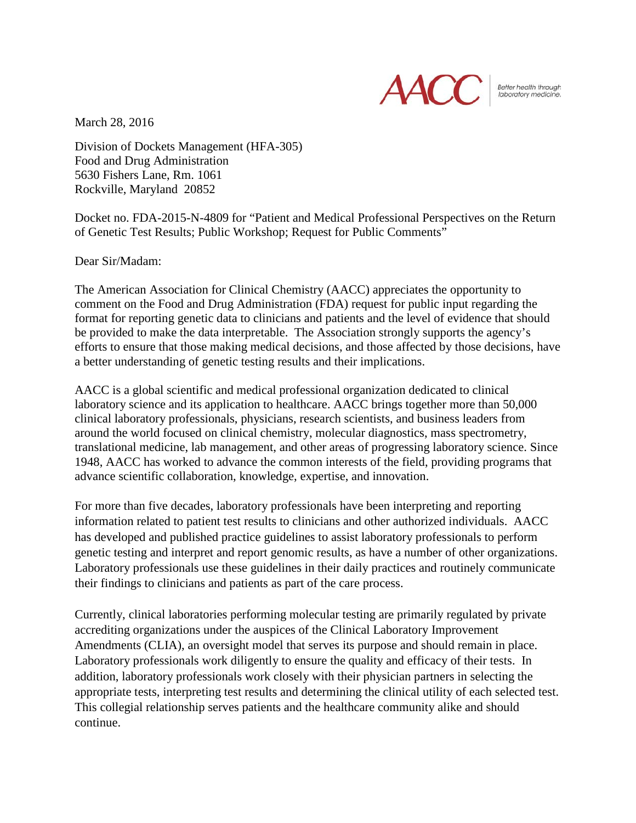

Better health throught<br>Iaboratory medicine.

March 28, 2016

Division of Dockets Management (HFA-305) Food and Drug Administration 5630 Fishers Lane, Rm. 1061 Rockville, Maryland 20852

Docket no. FDA-2015-N-4809 for "Patient and Medical Professional Perspectives on the Return of Genetic Test Results; Public Workshop; Request for Public Comments"

Dear Sir/Madam:

The American Association for Clinical Chemistry (AACC) appreciates the opportunity to comment on the Food and Drug Administration (FDA) request for public input regarding the format for reporting genetic data to clinicians and patients and the level of evidence that should be provided to make the data interpretable. The Association strongly supports the agency's efforts to ensure that those making medical decisions, and those affected by those decisions, have a better understanding of genetic testing results and their implications.

AACC is a global scientific and medical professional organization dedicated to clinical laboratory science and its application to healthcare. AACC brings together more than 50,000 clinical laboratory professionals, physicians, research scientists, and business leaders from around the world focused on clinical chemistry, molecular diagnostics, mass spectrometry, translational medicine, lab management, and other areas of progressing laboratory science. Since 1948, AACC has worked to advance the common interests of the field, providing programs that advance scientific collaboration, knowledge, expertise, and innovation.

For more than five decades, laboratory professionals have been interpreting and reporting information related to patient test results to clinicians and other authorized individuals. AACC has developed and published practice guidelines to assist laboratory professionals to perform genetic testing and interpret and report genomic results, as have a number of other organizations. Laboratory professionals use these guidelines in their daily practices and routinely communicate their findings to clinicians and patients as part of the care process.

Currently, clinical laboratories performing molecular testing are primarily regulated by private accrediting organizations under the auspices of the Clinical Laboratory Improvement Amendments (CLIA), an oversight model that serves its purpose and should remain in place. Laboratory professionals work diligently to ensure the quality and efficacy of their tests. In addition, laboratory professionals work closely with their physician partners in selecting the appropriate tests, interpreting test results and determining the clinical utility of each selected test. This collegial relationship serves patients and the healthcare community alike and should continue.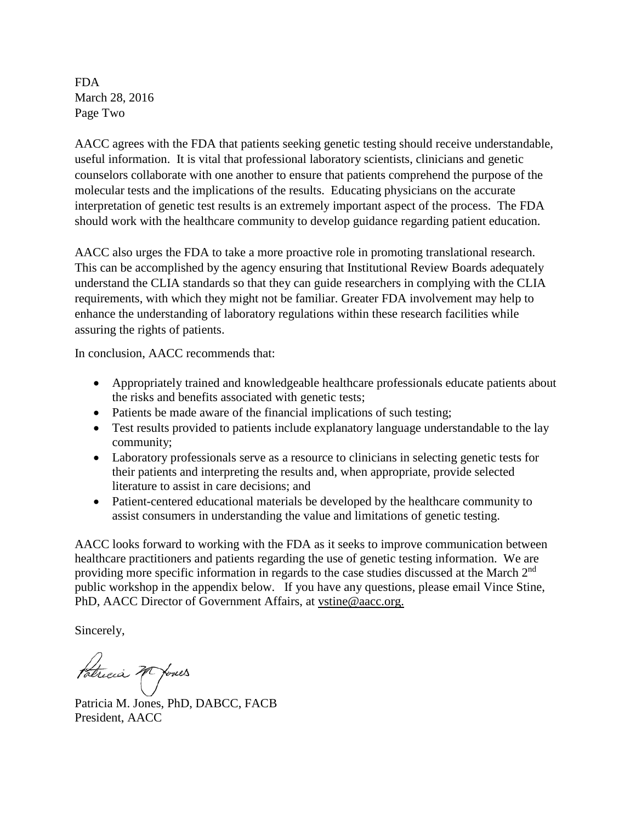FDA March 28, 2016 Page Two

AACC agrees with the FDA that patients seeking genetic testing should receive understandable, useful information. It is vital that professional laboratory scientists, clinicians and genetic counselors collaborate with one another to ensure that patients comprehend the purpose of the molecular tests and the implications of the results. Educating physicians on the accurate interpretation of genetic test results is an extremely important aspect of the process. The FDA should work with the healthcare community to develop guidance regarding patient education.

AACC also urges the FDA to take a more proactive role in promoting translational research. This can be accomplished by the agency ensuring that Institutional Review Boards adequately understand the CLIA standards so that they can guide researchers in complying with the CLIA requirements, with which they might not be familiar. Greater FDA involvement may help to enhance the understanding of laboratory regulations within these research facilities while assuring the rights of patients.

In conclusion, AACC recommends that:

- Appropriately trained and knowledgeable healthcare professionals educate patients about the risks and benefits associated with genetic tests;
- Patients be made aware of the financial implications of such testing;
- Test results provided to patients include explanatory language understandable to the lay community;
- Laboratory professionals serve as a resource to clinicians in selecting genetic tests for their patients and interpreting the results and, when appropriate, provide selected literature to assist in care decisions; and
- Patient-centered educational materials be developed by the healthcare community to assist consumers in understanding the value and limitations of genetic testing.

AACC looks forward to working with the FDA as it seeks to improve communication between healthcare practitioners and patients regarding the use of genetic testing information. We are providing more specific information in regards to the case studies discussed at the March  $2<sup>nd</sup>$ public workshop in the appendix below. If you have any questions, please email Vince Stine, PhD, AACC Director of Government Affairs, at vstine@aacc.org.

Sincerely,

Patricia 20 Jones

Patricia M. Jones, PhD, DABCC, FACB President, AACC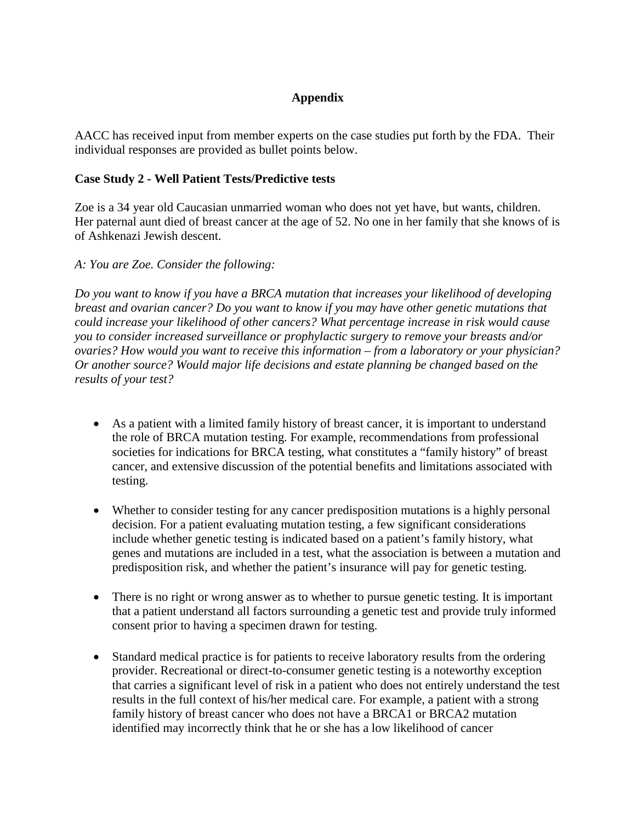### **Appendix**

AACC has received input from member experts on the case studies put forth by the FDA. Their individual responses are provided as bullet points below.

### **Case Study 2 - Well Patient Tests/Predictive tests**

Zoe is a 34 year old Caucasian unmarried woman who does not yet have, but wants, children. Her paternal aunt died of breast cancer at the age of 52. No one in her family that she knows of is of Ashkenazi Jewish descent.

### *A: You are Zoe. Consider the following:*

*Do you want to know if you have a BRCA mutation that increases your likelihood of developing breast and ovarian cancer? Do you want to know if you may have other genetic mutations that could increase your likelihood of other cancers? What percentage increase in risk would cause you to consider increased surveillance or prophylactic surgery to remove your breasts and/or ovaries? How would you want to receive this information – from a laboratory or your physician? Or another source? Would major life decisions and estate planning be changed based on the results of your test?* 

- As a patient with a limited family history of breast cancer, it is important to understand the role of BRCA mutation testing. For example, recommendations from professional societies for indications for BRCA testing, what constitutes a "family history" of breast cancer, and extensive discussion of the potential benefits and limitations associated with testing.
- Whether to consider testing for any cancer predisposition mutations is a highly personal decision. For a patient evaluating mutation testing, a few significant considerations include whether genetic testing is indicated based on a patient's family history, what genes and mutations are included in a test, what the association is between a mutation and predisposition risk, and whether the patient's insurance will pay for genetic testing.
- There is no right or wrong answer as to whether to pursue genetic testing. It is important that a patient understand all factors surrounding a genetic test and provide truly informed consent prior to having a specimen drawn for testing.
- Standard medical practice is for patients to receive laboratory results from the ordering provider. Recreational or direct-to-consumer genetic testing is a noteworthy exception that carries a significant level of risk in a patient who does not entirely understand the test results in the full context of his/her medical care. For example, a patient with a strong family history of breast cancer who does not have a BRCA1 or BRCA2 mutation identified may incorrectly think that he or she has a low likelihood of cancer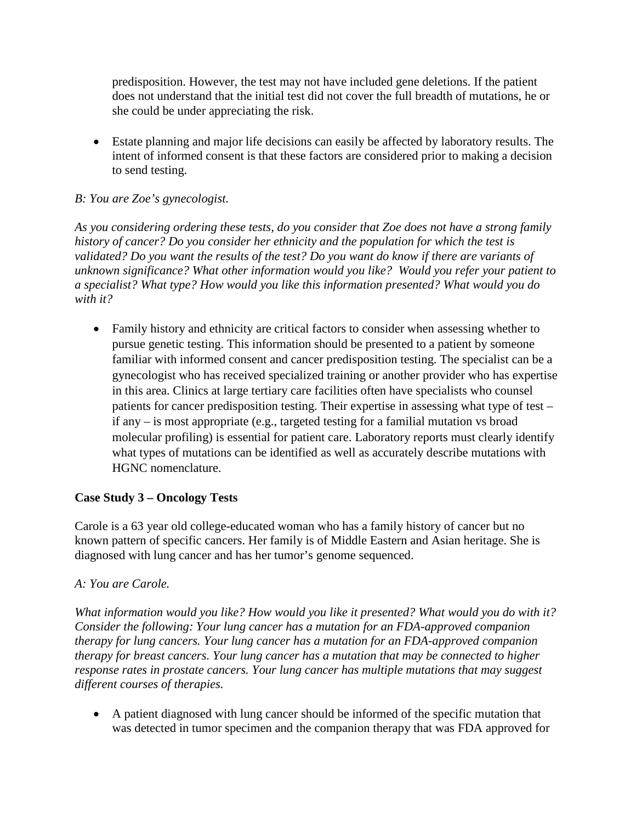predisposition. However, the test may not have included gene deletions. If the patient does not understand that the initial test did not cover the full breadth of mutations, he or she could be under appreciating the risk.

• Estate planning and major life decisions can easily be affected by laboratory results. The intent of informed consent is that these factors are considered prior to making a decision to send testing.

# *B: You are Zoe's gynecologist.*

*As you considering ordering these tests, do you consider that Zoe does not have a strong family history of cancer? Do you consider her ethnicity and the population for which the test is validated? Do you want the results of the test? Do you want do know if there are variants of unknown significance? What other information would you like? Would you refer your patient to a specialist? What type? How would you like this information presented? What would you do with it?* 

• Family history and ethnicity are critical factors to consider when assessing whether to pursue genetic testing. This information should be presented to a patient by someone familiar with informed consent and cancer predisposition testing. The specialist can be a gynecologist who has received specialized training or another provider who has expertise in this area. Clinics at large tertiary care facilities often have specialists who counsel patients for cancer predisposition testing. Their expertise in assessing what type of test – if any – is most appropriate (e.g., targeted testing for a familial mutation vs broad molecular profiling) is essential for patient care. Laboratory reports must clearly identify what types of mutations can be identified as well as accurately describe mutations with HGNC nomenclature.

### **Case Study 3 – Oncology Tests**

Carole is a 63 year old college-educated woman who has a family history of cancer but no known pattern of specific cancers. Her family is of Middle Eastern and Asian heritage. She is diagnosed with lung cancer and has her tumor's genome sequenced.

### *A: You are Carole.*

*What information would you like? How would you like it presented? What would you do with it? Consider the following: Your lung cancer has a mutation for an FDA-approved companion therapy for lung cancers. Your lung cancer has a mutation for an FDA-approved companion therapy for breast cancers. Your lung cancer has a mutation that may be connected to higher response rates in prostate cancers. Your lung cancer has multiple mutations that may suggest different courses of therapies.*

• A patient diagnosed with lung cancer should be informed of the specific mutation that was detected in tumor specimen and the companion therapy that was FDA approved for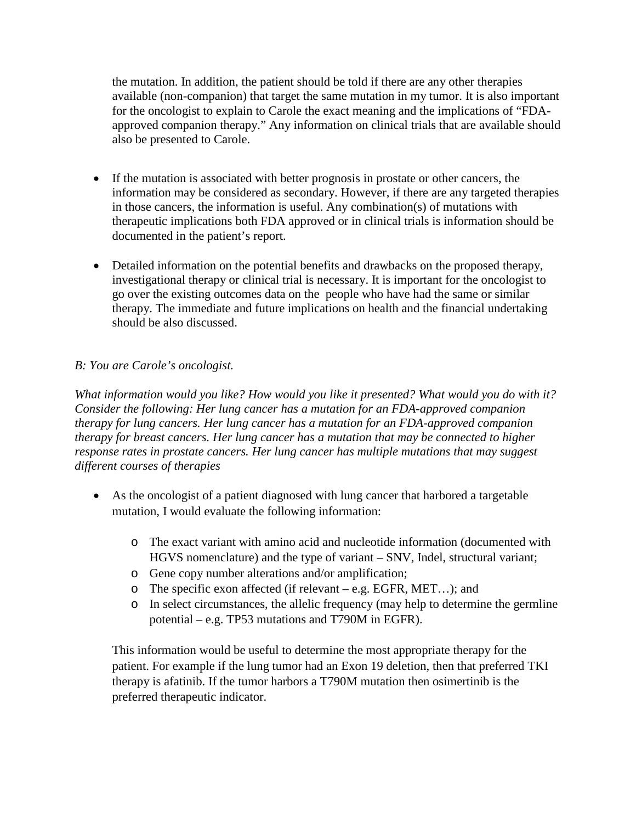the mutation. In addition, the patient should be told if there are any other therapies available (non-companion) that target the same mutation in my tumor. It is also important for the oncologist to explain to Carole the exact meaning and the implications of "FDAapproved companion therapy." Any information on clinical trials that are available should also be presented to Carole.

- If the mutation is associated with better prognosis in prostate or other cancers, the information may be considered as secondary. However, if there are any targeted therapies in those cancers, the information is useful. Any combination(s) of mutations with therapeutic implications both FDA approved or in clinical trials is information should be documented in the patient's report.
- Detailed information on the potential benefits and drawbacks on the proposed therapy, investigational therapy or clinical trial is necessary. It is important for the oncologist to go over the existing outcomes data on the people who have had the same or similar therapy. The immediate and future implications on health and the financial undertaking should be also discussed.

# *B: You are Carole's oncologist.*

*What information would you like? How would you like it presented? What would you do with it? Consider the following: Her lung cancer has a mutation for an FDA-approved companion therapy for lung cancers. Her lung cancer has a mutation for an FDA-approved companion therapy for breast cancers. Her lung cancer has a mutation that may be connected to higher response rates in prostate cancers. Her lung cancer has multiple mutations that may suggest different courses of therapies*

- As the oncologist of a patient diagnosed with lung cancer that harbored a targetable mutation, I would evaluate the following information:
	- o The exact variant with amino acid and nucleotide information (documented with HGVS nomenclature) and the type of variant – SNV, Indel, structural variant;
	- o Gene copy number alterations and/or amplification;
	- o The specific exon affected (if relevant e.g. EGFR, MET…); and
	- o In select circumstances, the allelic frequency (may help to determine the germline potential – e.g. TP53 mutations and T790M in EGFR).

This information would be useful to determine the most appropriate therapy for the patient. For example if the lung tumor had an Exon 19 deletion, then that preferred TKI therapy is afatinib. If the tumor harbors a T790M mutation then osimertinib is the preferred therapeutic indicator.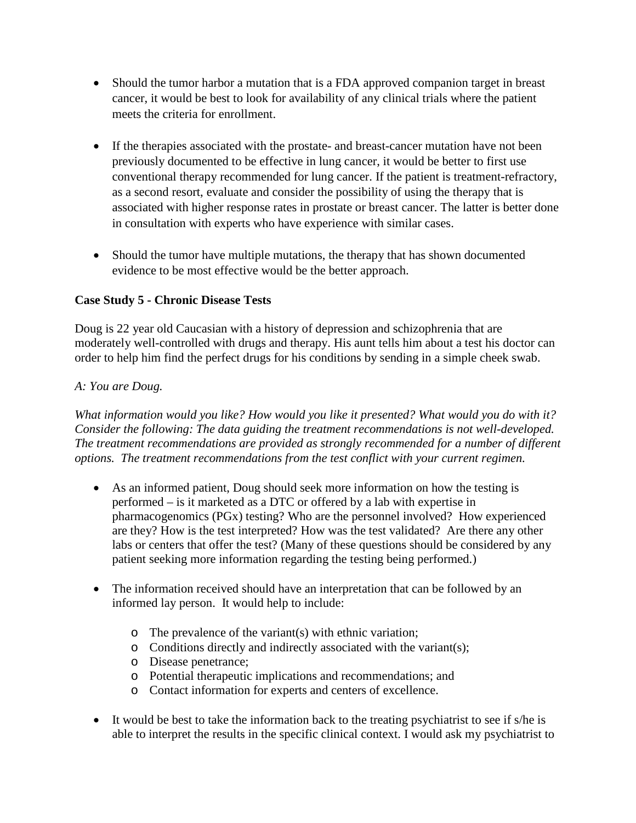- Should the tumor harbor a mutation that is a FDA approved companion target in breast cancer, it would be best to look for availability of any clinical trials where the patient meets the criteria for enrollment.
- If the therapies associated with the prostate- and breast-cancer mutation have not been previously documented to be effective in lung cancer, it would be better to first use conventional therapy recommended for lung cancer. If the patient is treatment-refractory, as a second resort, evaluate and consider the possibility of using the therapy that is associated with higher response rates in prostate or breast cancer. The latter is better done in consultation with experts who have experience with similar cases.
- Should the tumor have multiple mutations, the therapy that has shown documented evidence to be most effective would be the better approach.

# **Case Study 5 - Chronic Disease Tests**

Doug is 22 year old Caucasian with a history of depression and schizophrenia that are moderately well-controlled with drugs and therapy. His aunt tells him about a test his doctor can order to help him find the perfect drugs for his conditions by sending in a simple cheek swab.

### *A: You are Doug.*

*What information would you like? How would you like it presented? What would you do with it? Consider the following: The data guiding the treatment recommendations is not well-developed. The treatment recommendations are provided as strongly recommended for a number of different options. The treatment recommendations from the test conflict with your current regimen.*

- As an informed patient, Doug should seek more information on how the testing is performed – is it marketed as a DTC or offered by a lab with expertise in pharmacogenomics (PGx) testing? Who are the personnel involved? How experienced are they? How is the test interpreted? How was the test validated? Are there any other labs or centers that offer the test? (Many of these questions should be considered by any patient seeking more information regarding the testing being performed.)
- The information received should have an interpretation that can be followed by an informed lay person. It would help to include:
	- o The prevalence of the variant(s) with ethnic variation;
	- o Conditions directly and indirectly associated with the variant(s);
	- o Disease penetrance;
	- o Potential therapeutic implications and recommendations; and
	- o Contact information for experts and centers of excellence.
- It would be best to take the information back to the treating psychiatrist to see if s/he is able to interpret the results in the specific clinical context. I would ask my psychiatrist to